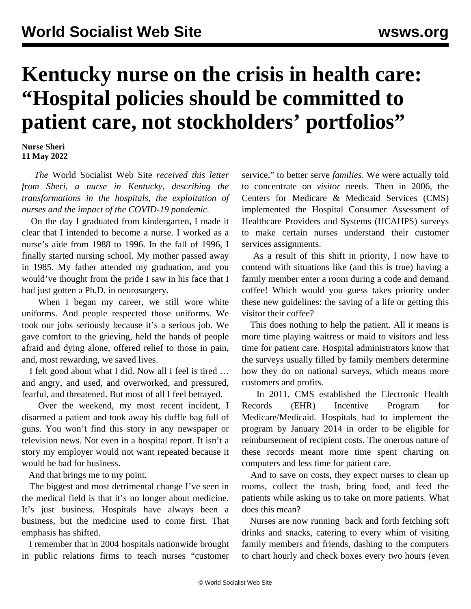## **Kentucky nurse on the crisis in health care: "Hospital policies should be committed to patient care, not stockholders' portfolios"**

**Nurse Sheri 11 May 2022**

 *The* World Socialist Web Site *received this letter from Sheri, a nurse in Kentucky, describing the transformations in the hospitals, the exploitation of nurses and the impact of the COVID-19 pandemic.* 

 On the day I graduated from kindergarten, I made it clear that I intended to become a nurse. I worked as a nurse's aide from 1988 to 1996. In the fall of 1996, I finally started nursing school. My mother passed away in 1985. My father attended my graduation, and you would've thought from the pride I saw in his face that I had just gotten a Ph.D. in neurosurgery.

When I began my career, we still wore white uniforms. And people respected those uniforms. We took our jobs seriously because it's a serious job. We gave comfort to the grieving, held the hands of people afraid and dying alone, offered relief to those in pain, and, most rewarding, we saved lives.

 I felt good about what I did. Now all I feel is tired … and angry, and used, and overworked, and pressured, fearful, and threatened. But most of all I feel betrayed.

 Over the weekend, my most recent incident, I disarmed a patient and took away his duffle bag full of guns. You won't find this story in any newspaper or television news. Not even in a hospital report. It isn't a story my employer would not want repeated because it would be bad for business.

And that brings me to my point.

 The biggest and most detrimental change I've seen in the medical field is that it's no longer about medicine. It's just business. Hospitals have always been a business, but the medicine used to come first. That emphasis has shifted.

 I remember that in 2004 hospitals nationwide brought in public relations firms to teach nurses "customer service," to better serve *families*. We were actually told to concentrate on *visitor* needs. Then in 2006, the Centers for Medicare & Medicaid Services (CMS) implemented the Hospital Consumer Assessment of Healthcare Providers and Systems (HCAHPS) surveys to make certain nurses understand their customer services assignments.

 As a result of this shift in priority, I now have to contend with situations like (and this is true) having a family member enter a room during a code and demand coffee! Which would you guess takes priority under these new guidelines: the saving of a life or getting this visitor their coffee?

 This does nothing to help the patient. All it means is more time playing waitress or maid to visitors and less time for patient care. Hospital administrators know that the surveys usually filled by family members determine how they do on national surveys, which means more customers and profits.

 In 2011, CMS established the Electronic Health Records (EHR) Incentive Program for Medicare/Medicaid. Hospitals had to implement the program by January 2014 in order to be eligible for reimbursement of recipient costs. The onerous nature of these records meant more time spent charting on computers and less time for patient care.

 And to save on costs, they expect nurses to clean up rooms, collect the trash, bring food, and feed the patients while asking us to take on more patients. What does this mean?

 Nurses are now running back and forth fetching soft drinks and snacks, catering to every whim of visiting family members and friends, dashing to the computers to chart hourly and check boxes every two hours (even